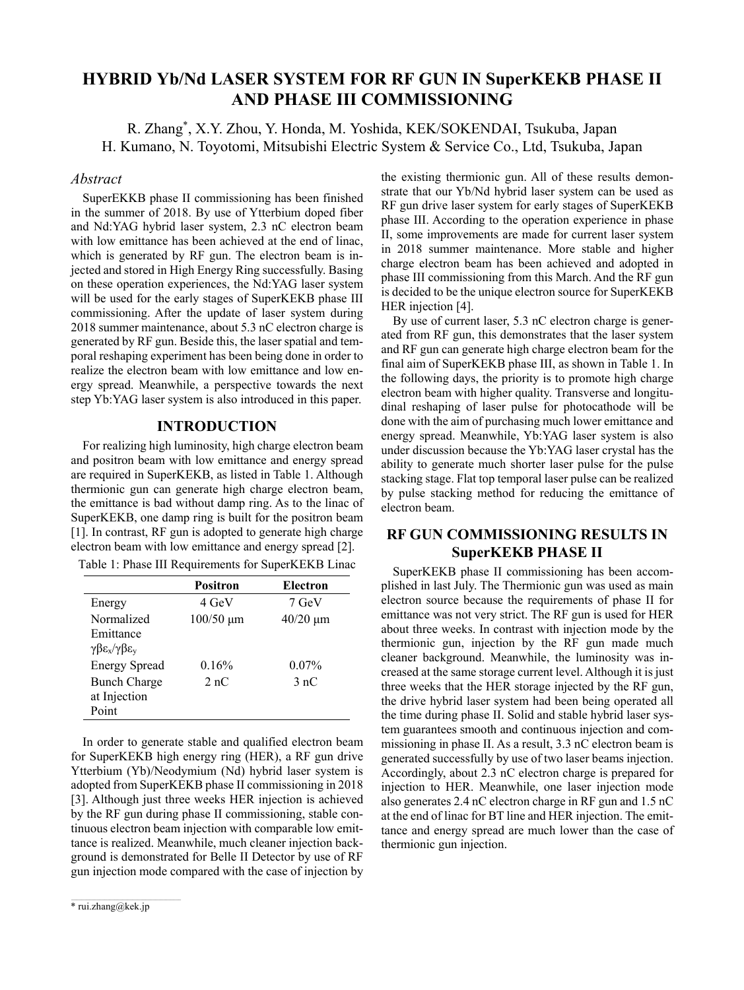# **HYBRID Yb/Nd LASER SYSTEM FOR RF GUN IN SuperKEKB PHASE II AND PHASE III COMMISSIONING**

R. Zhang\* , X.Y. Zhou, Y. Honda, M. Yoshida, KEK/SOKENDAI, Tsukuba, Japan H. Kumano, N. Toyotomi, Mitsubishi Electric System & Service Co., Ltd, Tsukuba, Japan

#### *Abstract*

SuperEKKB phase II commissioning has been finished in the summer of 2018. By use of Ytterbium doped fiber and Nd:YAG hybrid laser system, 2.3 nC electron beam with low emittance has been achieved at the end of linac, which is generated by RF gun. The electron beam is injected and stored in High Energy Ring successfully. Basing on these operation experiences, the Nd:YAG laser system will be used for the early stages of SuperKEKB phase III commissioning. After the update of laser system during 2018 summer maintenance, about 5.3 nC electron charge is generated by RF gun. Beside this, the laser spatial and temporal reshaping experiment has been being done in order to realize the electron beam with low emittance and low energy spread. Meanwhile, a perspective towards the next step Yb:YAG laser system is also introduced in this paper.

### **INTRODUCTION**

For realizing high luminosity, high charge electron beam and positron beam with low emittance and energy spread are required in SuperKEKB, as listed in Table 1. Although thermionic gun can generate high charge electron beam, the emittance is bad without damp ring. As to the linac of SuperKEKB, one damp ring is built for the positron beam [1]. In contrast, RF gun is adopted to generate high charge electron beam with low emittance and energy spread [2].

| Table 1: Phase III Requirements for SuperKEKB Linac |  |  |
|-----------------------------------------------------|--|--|
|-----------------------------------------------------|--|--|

|                                                       | <b>Positron</b> | Electron      |
|-------------------------------------------------------|-----------------|---------------|
| Energy                                                | 4 GeV           | 7 GeV         |
| Normalized                                            | $100/50 \mu m$  | $40/20 \mu m$ |
| Emittance                                             |                 |               |
| $\gamma \beta \epsilon_{x}/\gamma \beta \epsilon_{v}$ |                 |               |
| <b>Energy Spread</b>                                  | 0.16%           | $0.07\%$      |
| <b>Bunch Charge</b>                                   | 2 nC            | 3nC           |
| at Injection                                          |                 |               |
| Point                                                 |                 |               |

In order to generate stable and qualified electron beam for SuperKEKB high energy ring (HER), a RF gun drive Ytterbium (Yb)/Neodymium (Nd) hybrid laser system is adopted from SuperKEKB phase II commissioning in 2018 [3]. Although just three weeks HER injection is achieved by the RF gun during phase II commissioning, stable continuous electron beam injection with comparable low emittance is realized. Meanwhile, much cleaner injection background is demonstrated for Belle II Detector by use of RF gun injection mode compared with the case of injection by the existing thermionic gun. All of these results demonstrate that our Yb/Nd hybrid laser system can be used as RF gun drive laser system for early stages of SuperKEKB phase III. According to the operation experience in phase II, some improvements are made for current laser system in 2018 summer maintenance. More stable and higher charge electron beam has been achieved and adopted in phase III commissioning from this March. And the RF gun is decided to be the unique electron source for SuperKEKB HER injection [4].

By use of current laser, 5.3 nC electron charge is generated from RF gun, this demonstrates that the laser system and RF gun can generate high charge electron beam for the final aim of SuperKEKB phase III, as shown in Table 1. In the following days, the priority is to promote high charge electron beam with higher quality. Transverse and longitudinal reshaping of laser pulse for photocathode will be done with the aim of purchasing much lower emittance and energy spread. Meanwhile, Yb:YAG laser system is also under discussion because the Yb:YAG laser crystal has the ability to generate much shorter laser pulse for the pulse stacking stage. Flat top temporal laser pulse can be realized by pulse stacking method for reducing the emittance of electron beam.

## **RF GUN COMMISSIONING RESULTS IN SuperKEKB PHASE II**

SuperKEKB phase II commissioning has been accomplished in last July. The Thermionic gun was used as main electron source because the requirements of phase II for emittance was not very strict. The RF gun is used for HER about three weeks. In contrast with injection mode by the thermionic gun, injection by the RF gun made much cleaner background. Meanwhile, the luminosity was increased at the same storage current level. Although it is just three weeks that the HER storage injected by the RF gun, the drive hybrid laser system had been being operated all the time during phase II. Solid and stable hybrid laser system guarantees smooth and continuous injection and commissioning in phase II. As a result, 3.3 nC electron beam is generated successfully by use of two laser beams injection. Accordingly, about 2.3 nC electron charge is prepared for injection to HER. Meanwhile, one laser injection mode also generates 2.4 nC electron charge in RF gun and 1.5 nC at the end of linac for BT line and HER injection. The emittance and energy spread are much lower than the case of thermionic gun injection.

 $\mathcal{L}_\text{max}$  and the set of the set of the set of the set of the set of the set of the set of the set of the set of the set of the set of the set of the set of the set of the set of the set of the set of the set of the s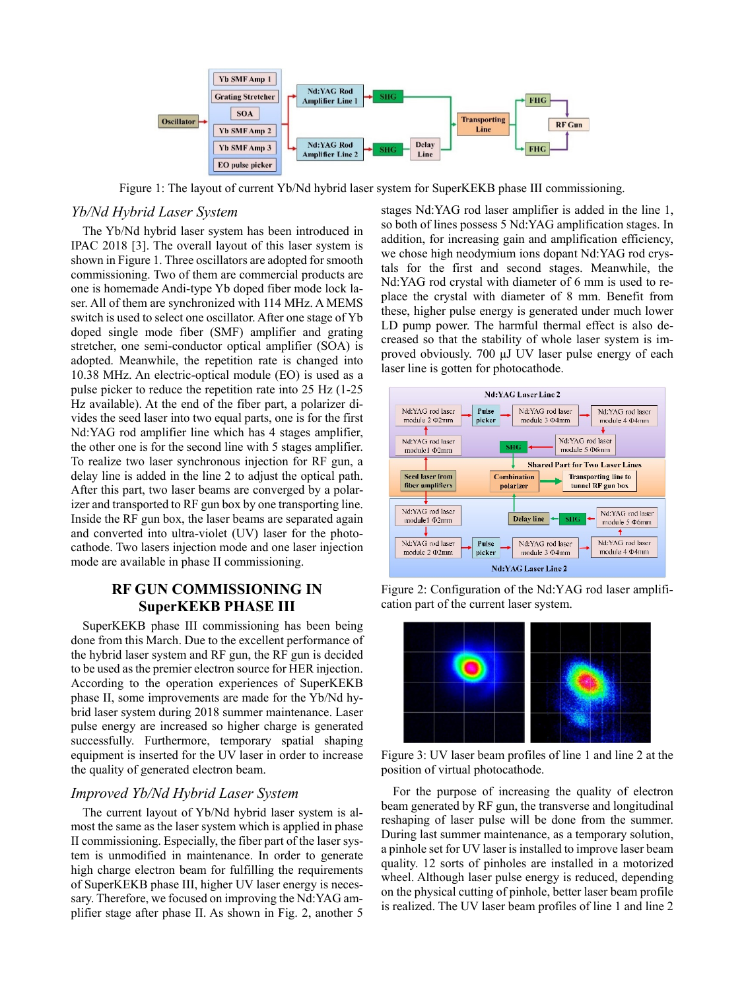

Figure 1: The layout of current Yb/Nd hybrid laser system for SuperKEKB phase III commissioning.

### *Yb/Nd Hybrid Laser System*

The Yb/Nd hybrid laser system has been introduced in IPAC 2018 [3]. The overall layout of this laser system is shown in Figure 1. Three oscillators are adopted for smooth commissioning. Two of them are commercial products are one is homemade Andi-type Yb doped fiber mode lock laser. All of them are synchronized with 114 MHz. A MEMS switch is used to select one oscillator. After one stage of Yb doped single mode fiber (SMF) amplifier and grating stretcher, one semi-conductor optical amplifier (SOA) is adopted. Meanwhile, the repetition rate is changed into 10.38 MHz. An electric-optical module (EO) is used as a pulse picker to reduce the repetition rate into 25 Hz (1-25 Hz available). At the end of the fiber part, a polarizer divides the seed laser into two equal parts, one is for the first Nd:YAG rod amplifier line which has 4 stages amplifier, the other one is for the second line with 5 stages amplifier. To realize two laser synchronous injection for RF gun, a delay line is added in the line 2 to adjust the optical path. After this part, two laser beams are converged by a polarizer and transported to RF gun box by one transporting line. Inside the RF gun box, the laser beams are separated again and converted into ultra-violet (UV) laser for the photocathode. Two lasers injection mode and one laser injection mode are available in phase II commissioning.

### **RF GUN COMMISSIONING IN SuperKEKB PHASE III**

SuperKEKB phase III commissioning has been being done from this March. Due to the excellent performance of the hybrid laser system and RF gun, the RF gun is decided to be used as the premier electron source for HER injection. According to the operation experiences of SuperKEKB phase II, some improvements are made for the Yb/Nd hybrid laser system during 2018 summer maintenance. Laser pulse energy are increased so higher charge is generated successfully. Furthermore, temporary spatial shaping equipment is inserted for the UV laser in order to increase the quality of generated electron beam.

#### *Improved Yb/Nd Hybrid Laser System*

The current layout of Yb/Nd hybrid laser system is almost the same as the laser system which is applied in phase II commissioning. Especially, the fiber part of the laser system is unmodified in maintenance. In order to generate high charge electron beam for fulfilling the requirements of SuperKEKB phase III, higher UV laser energy is necessary. Therefore, we focused on improving the Nd:YAG amplifier stage after phase II. As shown in Fig. 2, another 5

stages Nd:YAG rod laser amplifier is added in the line 1, so both of lines possess 5 Nd:YAG amplification stages. In addition, for increasing gain and amplification efficiency, we chose high neodymium ions dopant Nd:YAG rod crystals for the first and second stages. Meanwhile, the Nd:YAG rod crystal with diameter of 6 mm is used to replace the crystal with diameter of 8 mm. Benefit from these, higher pulse energy is generated under much lower LD pump power. The harmful thermal effect is also decreased so that the stability of whole laser system is improved obviously. 700 μJ UV laser pulse energy of each laser line is gotten for photocathode.



Figure 2: Configuration of the Nd:YAG rod laser amplification part of the current laser system.



Figure 3: UV laser beam profiles of line 1 and line 2 at the position of virtual photocathode.

For the purpose of increasing the quality of electron beam generated by RF gun, the transverse and longitudinal reshaping of laser pulse will be done from the summer. During last summer maintenance, as a temporary solution, a pinhole set for UV laser is installed to improve laser beam quality. 12 sorts of pinholes are installed in a motorized wheel. Although laser pulse energy is reduced, depending on the physical cutting of pinhole, better laser beam profile is realized. The UV laser beam profiles of line 1 and line 2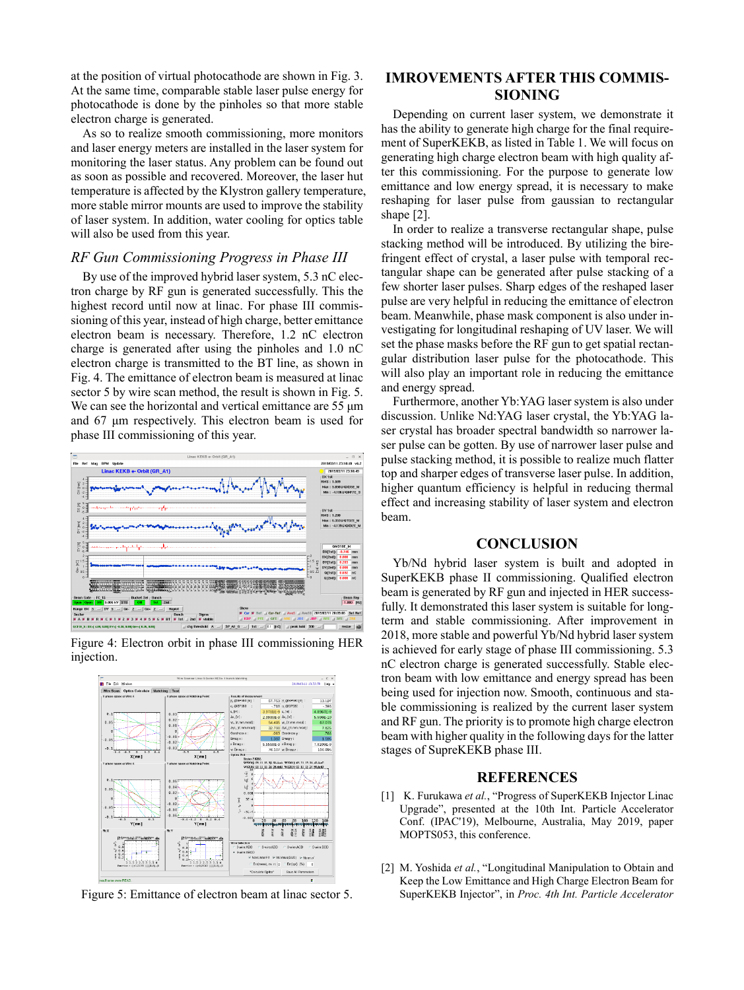at the position of virtual photocathode are shown in Fig. 3. At the same time, comparable stable laser pulse energy for photocathode is done by the pinholes so that more stable electron charge is generated.

As so to realize smooth commissioning, more monitors and laser energy meters are installed in the laser system for monitoring the laser status. Any problem can be found out as soon as possible and recovered. Moreover, the laser hut temperature is affected by the Klystron gallery temperature, more stable mirror mounts are used to improve the stability of laser system. In addition, water cooling for optics table will also be used from this year.

#### *RF Gun Commissioning Progress in Phase III*

By use of the improved hybrid laser system, 5.3 nC electron charge by RF gun is generated successfully. This the highest record until now at linac. For phase III commissioning of this year, instead of high charge, better emittance electron beam is necessary. Therefore, 1.2 nC electron charge is generated after using the pinholes and 1.0 nC electron charge is transmitted to the BT line, as shown in Fig. 4. The emittance of electron beam is measured at linac sector 5 by wire scan method, the result is shown in Fig. 5. We can see the horizontal and vertical emittance are 55 μm and 67 μm respectively. This electron beam is used for phase III commissioning of this year.



Figure 4: Electron orbit in phase III commissioning HER injection.



Figure 5: Emittance of electron beam at linac sector 5.

### **IMROVEMENTS AFTER THIS COMMIS-SIONING**

Depending on current laser system, we demonstrate it has the ability to generate high charge for the final requirement of SuperKEKB, as listed in Table 1. We will focus on generating high charge electron beam with high quality after this commissioning. For the purpose to generate low emittance and low energy spread, it is necessary to make reshaping for laser pulse from gaussian to rectangular shape [2].

In order to realize a transverse rectangular shape, pulse stacking method will be introduced. By utilizing the birefringent effect of crystal, a laser pulse with temporal rectangular shape can be generated after pulse stacking of a few shorter laser pulses. Sharp edges of the reshaped laser pulse are very helpful in reducing the emittance of electron beam. Meanwhile, phase mask component is also under investigating for longitudinal reshaping of UV laser. We will set the phase masks before the RF gun to get spatial rectangular distribution laser pulse for the photocathode. This will also play an important role in reducing the emittance and energy spread.

Furthermore, another Yb:YAG laser system is also under discussion. Unlike Nd:YAG laser crystal, the Yb:YAG laser crystal has broader spectral bandwidth so narrower laser pulse can be gotten. By use of narrower laser pulse and pulse stacking method, it is possible to realize much flatter top and sharper edges of transverse laser pulse. In addition, higher quantum efficiency is helpful in reducing thermal effect and increasing stability of laser system and electron beam.

#### **CONCLUSION**

Yb/Nd hybrid laser system is built and adopted in SuperKEKB phase II commissioning. Qualified electron beam is generated by RF gun and injected in HER successfully. It demonstrated this laser system is suitable for longterm and stable commissioning. After improvement in 2018, more stable and powerful Yb/Nd hybrid laser system is achieved for early stage of phase III commissioning. 5.3 nC electron charge is generated successfully. Stable electron beam with low emittance and energy spread has been being used for injection now. Smooth, continuous and stable commissioning is realized by the current laser system and RF gun. The priority is to promote high charge electron beam with higher quality in the following days for the latter stages of SupreKEKB phase III.

### **REFERENCES**

- [1] K. Furukawa *et al.*, "Progress of SuperKEKB Injector Linac Upgrade", presented at the 10th Int. Particle Accelerator Conf. (IPAC'19), Melbourne, Australia, May 2019, paper MOPTS053, this conference.
- [2] M. Yoshida *et al.*, "Longitudinal Manipulation to Obtain and Keep the Low Emittance and High Charge Electron Beam for SuperKEKB Injector", in *Proc. 4th Int. Particle Accelerator*